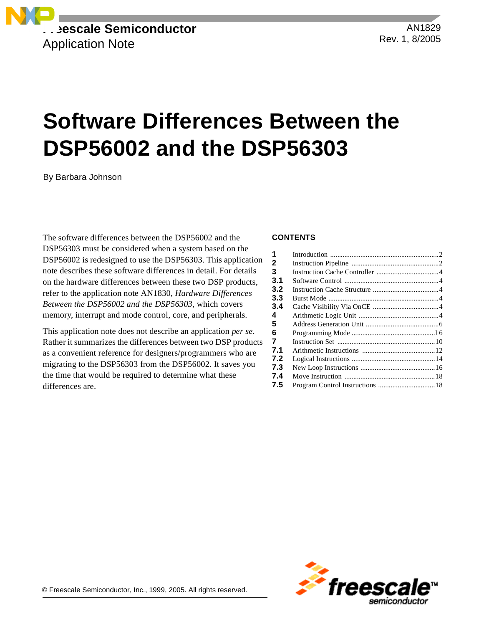

AN1829 Rev. 1, 8/2005

# **Software Differences Between the DSP56002 and the DSP56303**

By Barbara Johnson

The software differences between the DSP56002 and the DSP56303 must be considered when a system based on the DSP56002 is redesigned to use the DSP56303. This application note describes these software differences in detail. For details on the hardware differences between these two DSP products, refer to the application note AN1830, *Hardware Differences Between the DSP56002 and the DSP56303*, which covers memory, interrupt and mode control, core, and peripherals.

This application note does not describe an application *per se*. Rather it summarizes the differences between two DSP products as a convenient reference for designers/programmers who are migrating to the DSP56303 from the DSP56002. It saves you the time that would be required to determine what these differences are.

#### **CONTENTS**

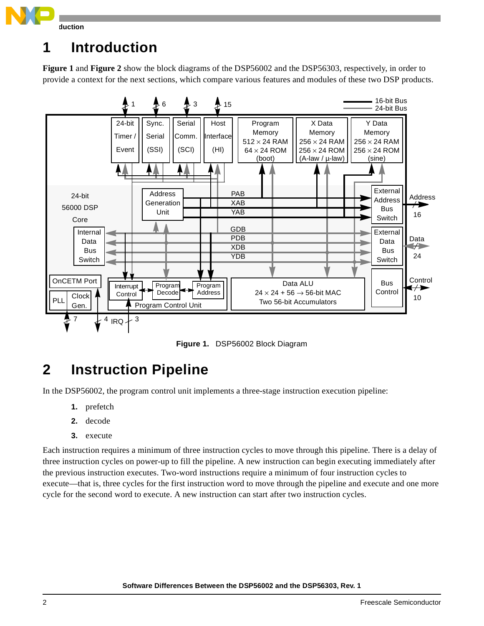

## **1 Introduction**

**[Figure 1](#page-1-0)** and **[Figure 2](#page-2-0)** show the block diagrams of the DSP56002 and the DSP56303, respectively, in order to provide a context for the next sections, which compare various features and modules of these two DSP products.



**Figure 1.** DSP56002 Block Diagram

# <span id="page-1-0"></span>**2 Instruction Pipeline**

In the DSP56002, the program control unit implements a three-stage instruction execution pipeline:

- **1.** prefetch
- **2.** decode
- **3.** execute

Each instruction requires a minimum of three instruction cycles to move through this pipeline. There is a delay of three instruction cycles on power-up to fill the pipeline. A new instruction can begin executing immediately after the previous instruction executes. Two-word instructions require a minimum of four instruction cycles to execute—that is, three cycles for the first instruction word to move through the pipeline and execute and one more cycle for the second word to execute. A new instruction can start after two instruction cycles.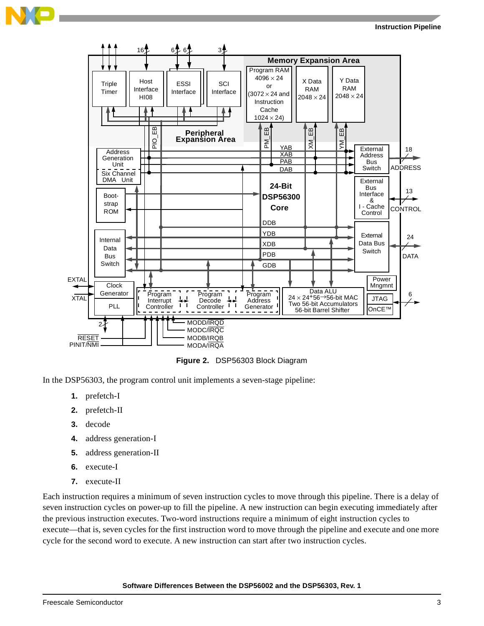

**Figure 2.** DSP56303 Block Diagram

<span id="page-2-0"></span>In the DSP56303, the program control unit implements a seven-stage pipeline:

- **1.** prefetch-I
- **2.** prefetch-II
- **3.** decode
- **4.** address generation-I
- **5.** address generation-II
- **6.** execute-I
- **7.** execute-II

Each instruction requires a minimum of seven instruction cycles to move through this pipeline. There is a delay of seven instruction cycles on power-up to fill the pipeline. A new instruction can begin executing immediately after the previous instruction executes. Two-word instructions require a minimum of eight instruction cycles to execute—that is, seven cycles for the first instruction word to move through the pipeline and execute and one more cycle for the second word to execute. A new instruction can start after two instruction cycles.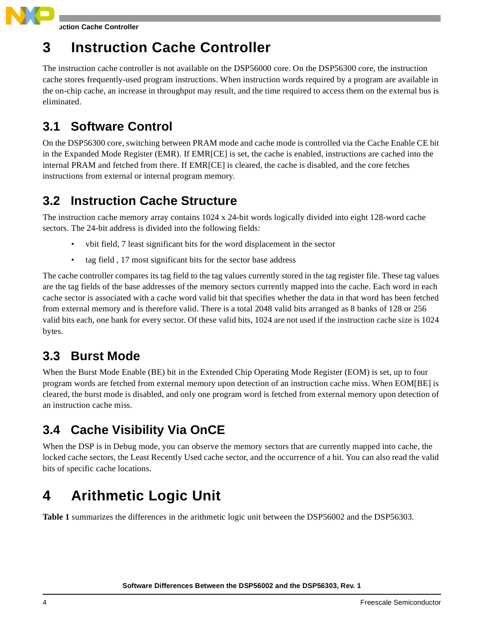**Instruction Cache Controller**

# **3 Instruction Cache Controller**

The instruction cache controller is not available on the DSP56000 core. On the DSP56300 core, the instruction cache stores frequently-used program instructions. When instruction words required by a program are available in the on-chip cache, an increase in throughput may result, and the time required to access them on the external bus is eliminated.

### **3.1 Software Control**

On the DSP56300 core, switching between PRAM mode and cache mode is controlled via the Cache Enable CE bit in the Expanded Mode Register (EMR). If EMR[CE] is set, the cache is enabled, instructions are cached into the internal PRAM and fetched from there. If EMR[CE] is cleared, the cache is disabled, and the core fetches instructions from external or internal program memory.

### **3.2 Instruction Cache Structure**

The instruction cache memory array contains 1024 x 24-bit words logically divided into eight 128-word cache sectors. The 24-bit address is divided into the following fields:

- vbit field, 7 least significant bits for the word displacement in the sector
- tag field , 17 most significant bits for the sector base address

The cache controller compares its tag field to the tag values currently stored in the tag register file. These tag values are the tag fields of the base addresses of the memory sectors currently mapped into the cache. Each word in each cache sector is associated with a cache word valid bit that specifies whether the data in that word has been fetched from external memory and is therefore valid. There is a total 2048 valid bits arranged as 8 banks of 128 or 256 valid bits each, one bank for every sector. Of these valid bits, 1024 are not used if the instruction cache size is 1024 bytes.

### **3.3 Burst Mode**

When the Burst Mode Enable (BE) bit in the Extended Chip Operating Mode Register (EOM) is set, up to four program words are fetched from external memory upon detection of an instruction cache miss. When EOM[BE] is cleared, the burst mode is disabled, and only one program word is fetched from external memory upon detection of an instruction cache miss.

### **3.4 Cache Visibility Via OnCE**

When the DSP is in Debug mode, you can observe the memory sectors that are currently mapped into cache, the locked cache sectors, the Least Recently Used cache sector, and the occurrence of a hit. You can also read the valid bits of specific cache locations.

# **4 Arithmetic Logic Unit**

**[Table 1](#page-4-0)** summarizes the differences in the arithmetic logic unit between the DSP56002 and the DSP56303.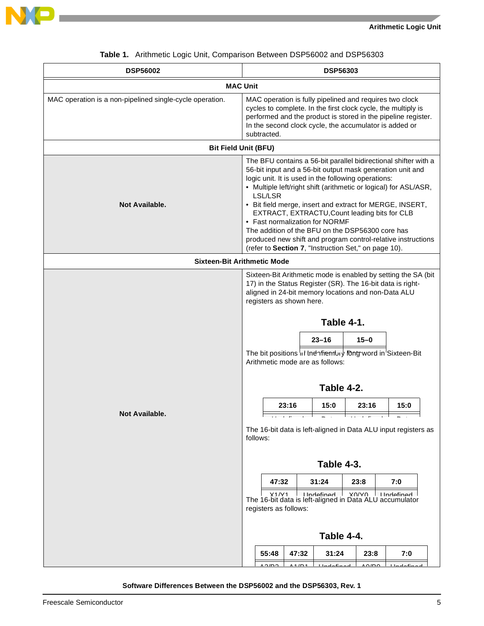



<span id="page-4-0"></span>

| <b>DSP56002</b>                                          | <b>DSP56303</b>                                                                                                                                                                                                                                                                                                                                                                                                                                                                                                                                                                               |
|----------------------------------------------------------|-----------------------------------------------------------------------------------------------------------------------------------------------------------------------------------------------------------------------------------------------------------------------------------------------------------------------------------------------------------------------------------------------------------------------------------------------------------------------------------------------------------------------------------------------------------------------------------------------|
|                                                          | <b>MAC Unit</b>                                                                                                                                                                                                                                                                                                                                                                                                                                                                                                                                                                               |
| MAC operation is a non-pipelined single-cycle operation. | MAC operation is fully pipelined and requires two clock<br>cycles to complete. In the first clock cycle, the multiply is<br>performed and the product is stored in the pipeline register.<br>In the second clock cycle, the accumulator is added or<br>subtracted.                                                                                                                                                                                                                                                                                                                            |
| <b>Bit Field Unit (BFU)</b>                              |                                                                                                                                                                                                                                                                                                                                                                                                                                                                                                                                                                                               |
| <b>Not Available.</b>                                    | The BFU contains a 56-bit parallel bidirectional shifter with a<br>56-bit input and a 56-bit output mask generation unit and<br>logic unit. It is used in the following operations:<br>• Multiple left/right shift (arithmetic or logical) for ASL/ASR,<br>LSL/LSR<br>• Bit field merge, insert and extract for MERGE, INSERT,<br>EXTRACT, EXTRACTU, Count leading bits for CLB<br>• Fast normalization for NORMF<br>The addition of the BFU on the DSP56300 core has<br>produced new shift and program control-relative instructions<br>(refer to Section 7, "Instruction Set," on page 10). |
| <b>Sixteen-Bit Arithmetic Mode</b>                       |                                                                                                                                                                                                                                                                                                                                                                                                                                                                                                                                                                                               |
| Not Available.                                           | Sixteen-Bit Arithmetic mode is enabled by setting the SA (bit<br>17) in the Status Register (SR). The 16-bit data is right-<br>aligned in 24-bit memory locations and non-Data ALU<br>registers as shown here.<br>Table 4-1.<br>$23 - 16$<br>$15 - 0$<br>The bit positions in the infrembry long word in Sixteen-Bit<br>Arithmetic mode are as follows:<br>Table 4-2.<br>23:16<br>15:0<br>23:16<br>15:0<br>المنحال والمستحقق والمتحال والمتحدث<br>┑<br>The 16-bit data is left-aligned in Data ALU input registers as<br>follows:<br>Table 4-3.                                               |
|                                                          | 47:32<br>31:24<br>23:8<br>7:0                                                                                                                                                                                                                                                                                                                                                                                                                                                                                                                                                                 |
|                                                          | Y1/N1<br>$I$ Indefined $\overline{I}$ XO/VO IIIndefined<br>The 16-bit data is left-aligned in Data ALU accumulator<br>registers as follows:                                                                                                                                                                                                                                                                                                                                                                                                                                                   |
|                                                          | Table 4-4.                                                                                                                                                                                                                                                                                                                                                                                                                                                                                                                                                                                    |
|                                                          | 47:32<br>31:24<br>55:48<br>23:8<br>7:0<br><u>A O ID O</u><br>$A A/D A$<br>المممثان ما المسلم ال<br>$\triangle$<br>مممثالم المملل                                                                                                                                                                                                                                                                                                                                                                                                                                                              |

#### **Table 1.** Arithmetic Logic Unit, Comparison Between DSP56002 and DSP56303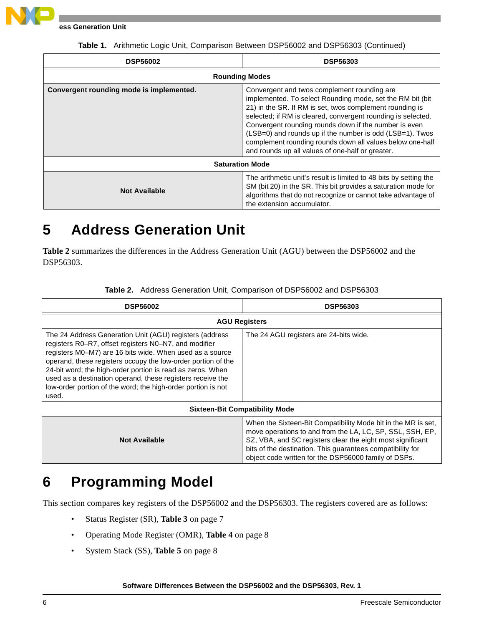

**Address Generation Unit**

| <b>DSP56002</b>                          | <b>DSP56303</b>                                                                                                                                                                                                                                                                                                                                                                                                                                                             |  |  |
|------------------------------------------|-----------------------------------------------------------------------------------------------------------------------------------------------------------------------------------------------------------------------------------------------------------------------------------------------------------------------------------------------------------------------------------------------------------------------------------------------------------------------------|--|--|
|                                          | <b>Rounding Modes</b>                                                                                                                                                                                                                                                                                                                                                                                                                                                       |  |  |
| Convergent rounding mode is implemented. | Convergent and twos complement rounding are.<br>implemented. To select Rounding mode, set the RM bit (bit<br>21) in the SR. If RM is set, twos complement rounding is<br>selected; if RM is cleared, convergent rounding is selected.<br>Convergent rounding rounds down if the number is even<br>(LSB=0) and rounds up if the number is odd (LSB=1). Twos<br>complement rounding rounds down all values below one-half<br>and rounds up all values of one-half or greater. |  |  |
| <b>Saturation Mode</b>                   |                                                                                                                                                                                                                                                                                                                                                                                                                                                                             |  |  |
| <b>Not Available</b>                     | The arithmetic unit's result is limited to 48 bits by setting the<br>SM (bit 20) in the SR. This bit provides a saturation mode for<br>algorithms that do not recognize or cannot take advantage of<br>the extension accumulator.                                                                                                                                                                                                                                           |  |  |

**Table 1.** Arithmetic Logic Unit, Comparison Between DSP56002 and DSP56303 (Continued)

### **5 Address Generation Unit**

**[Table 2](#page-5-0)** summarizes the differences in the Address Generation Unit (AGU) between the DSP56002 and the DSP56303.

<span id="page-5-0"></span>

| <b>DSP56002</b>                                                                                                                                                                                                                                                                                                                                                                                                                                   | <b>DSP56303</b>                                                                                                                                                                                                                                                                                                |  |  |  |
|---------------------------------------------------------------------------------------------------------------------------------------------------------------------------------------------------------------------------------------------------------------------------------------------------------------------------------------------------------------------------------------------------------------------------------------------------|----------------------------------------------------------------------------------------------------------------------------------------------------------------------------------------------------------------------------------------------------------------------------------------------------------------|--|--|--|
| <b>AGU Registers</b>                                                                                                                                                                                                                                                                                                                                                                                                                              |                                                                                                                                                                                                                                                                                                                |  |  |  |
| The 24 Address Generation Unit (AGU) registers (address<br>registers R0–R7, offset registers N0–N7, and modifier<br>registers M0-M7) are 16 bits wide. When used as a source<br>operand, these registers occupy the low-order portion of the<br>24-bit word; the high-order portion is read as zeros. When<br>used as a destination operand, these registers receive the<br>low-order portion of the word; the high-order portion is not<br>used. | The 24 AGU registers are 24-bits wide.                                                                                                                                                                                                                                                                         |  |  |  |
|                                                                                                                                                                                                                                                                                                                                                                                                                                                   | <b>Sixteen-Bit Compatibility Mode</b>                                                                                                                                                                                                                                                                          |  |  |  |
| <b>Not Available</b>                                                                                                                                                                                                                                                                                                                                                                                                                              | When the Sixteen-Bit Compatibility Mode bit in the MR is set.<br>move operations to and from the LA, LC, SP, SSL, SSH, EP,<br>SZ, VBA, and SC registers clear the eight most significant<br>bits of the destination. This guarantees compatibility for<br>object code written for the DSP56000 family of DSPs. |  |  |  |

**Table 2.** Address Generation Unit, Comparison of DSP56002 and DSP56303

### **6 Programming Model**

This section compares key registers of the DSP56002 and the DSP56303. The registers covered are as follows:

- Status Register (SR), **Table 3** [on page 7](#page-6-0)
- Operating Mode Register (OMR), **Table 4** [on page 8](#page-7-0)
- System Stack (SS), **Table 5** [on page 8](#page-7-1)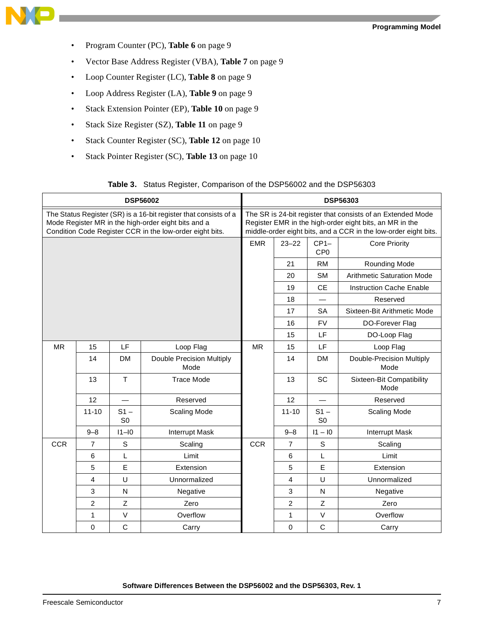

- Program Counter (PC), **Table 6** [on page 9](#page-8-0)
- Vector Base Address Register (VBA), **Table 7** [on page 9](#page-8-1)
- Loop Counter Register (LC), **Table 8** [on page 9](#page-8-2)
- Loop Address Register (LA), **Table 9** [on page 9](#page-8-3)
- Stack Extension Pointer (EP), **Table 10** [on page 9](#page-8-4)
- Stack Size Register (SZ), **Table 11** [on page 9](#page-8-5)
- Stack Counter Register (SC), **Table 12** [on page 10](#page-9-1)
- Stack Pointer Register (SC), **Table 13** [on page 10](#page-9-2)

| Table 3. Status Register, Comparison of the DSP56002 and the DSP56303 |  |
|-----------------------------------------------------------------------|--|
|-----------------------------------------------------------------------|--|

<span id="page-6-0"></span>

| <b>DSP56002</b>                                                                                                                                                                     |                | <b>DSP56303</b>                                                                                                                                                                           |                                   |            |                |                           |                                   |
|-------------------------------------------------------------------------------------------------------------------------------------------------------------------------------------|----------------|-------------------------------------------------------------------------------------------------------------------------------------------------------------------------------------------|-----------------------------------|------------|----------------|---------------------------|-----------------------------------|
| The Status Register (SR) is a 16-bit register that consists of a<br>Mode Register MR in the high-order eight bits and a<br>Condition Code Register CCR in the low-order eight bits. |                | The SR is 24-bit register that consists of an Extended Mode<br>Register EMR in the high-order eight bits, an MR in the<br>middle-order eight bits, and a CCR in the low-order eight bits. |                                   |            |                |                           |                                   |
|                                                                                                                                                                                     |                |                                                                                                                                                                                           |                                   | <b>EMR</b> | $23 - 22$      | $CP1-$<br>CP <sub>0</sub> | <b>Core Priority</b>              |
|                                                                                                                                                                                     |                |                                                                                                                                                                                           |                                   |            | 21             | RM                        | Rounding Mode                     |
|                                                                                                                                                                                     |                |                                                                                                                                                                                           |                                   |            | 20             | <b>SM</b>                 | <b>Arithmetic Saturation Mode</b> |
|                                                                                                                                                                                     |                |                                                                                                                                                                                           |                                   |            | 19             | <b>CE</b>                 | <b>Instruction Cache Enable</b>   |
|                                                                                                                                                                                     |                |                                                                                                                                                                                           |                                   |            | 18             |                           | Reserved                          |
|                                                                                                                                                                                     |                |                                                                                                                                                                                           |                                   |            | 17             | <b>SA</b>                 | Sixteen-Bit Arithmetic Mode       |
|                                                                                                                                                                                     |                |                                                                                                                                                                                           |                                   |            | 16             | <b>FV</b>                 | DO-Forever Flag                   |
|                                                                                                                                                                                     |                |                                                                                                                                                                                           |                                   |            | 15             | LF                        | DO-Loop Flag                      |
| <b>MR</b>                                                                                                                                                                           | 15             | LF                                                                                                                                                                                        | Loop Flag                         | <b>MR</b>  | 15             | LF                        | Loop Flag                         |
|                                                                                                                                                                                     | 14             | <b>DM</b>                                                                                                                                                                                 | Double Precision Multiply<br>Mode |            | 14             | DM                        | Double-Precision Multiply<br>Mode |
|                                                                                                                                                                                     | 13             | T                                                                                                                                                                                         | <b>Trace Mode</b>                 |            | 13             | SC                        | Sixteen-Bit Compatibility<br>Mode |
|                                                                                                                                                                                     | 12             | $\equiv$                                                                                                                                                                                  | Reserved                          |            | 12             | $\overline{\phantom{0}}$  | Reserved                          |
|                                                                                                                                                                                     | $11 - 10$      | $S1 -$<br>S <sub>0</sub>                                                                                                                                                                  | <b>Scaling Mode</b>               |            | $11 - 10$      | $S1 -$<br>S <sub>0</sub>  | <b>Scaling Mode</b>               |
|                                                                                                                                                                                     | $9 - 8$        | $11 - 10$                                                                                                                                                                                 | <b>Interrupt Mask</b>             |            | $9 - 8$        | $11 - 10$                 | <b>Interrupt Mask</b>             |
| <b>CCR</b>                                                                                                                                                                          | $\overline{7}$ | $\mathbf S$                                                                                                                                                                               | Scaling                           | <b>CCR</b> | $\overline{7}$ | S                         | Scaling                           |
|                                                                                                                                                                                     | 6              | $\mathsf{L}% _{0}\left( \mathsf{L}_{0}\right) ^{\ast }=\mathsf{L}_{0}\left( \mathsf{L}_{0}\right) ^{\ast }$                                                                               | Limit                             |            | 6              | L                         | Limit                             |
|                                                                                                                                                                                     | 5              | E                                                                                                                                                                                         | Extension                         |            | 5              | E                         | Extension                         |
|                                                                                                                                                                                     | $\overline{4}$ | U                                                                                                                                                                                         | Unnormalized                      |            | 4              | U                         | Unnormalized                      |
|                                                                                                                                                                                     | $\mathbf{3}$   | $\mathsf{N}$                                                                                                                                                                              | Negative                          |            | 3              | N                         | Negative                          |
|                                                                                                                                                                                     | $\overline{2}$ | Z                                                                                                                                                                                         | Zero                              |            | $\overline{2}$ | Z                         | Zero                              |
|                                                                                                                                                                                     | 1              | $\vee$                                                                                                                                                                                    | Overflow                          |            | 1              | $\mathsf V$               | Overflow                          |
|                                                                                                                                                                                     | $\mathbf 0$    | $\mathsf{C}$                                                                                                                                                                              | Carry                             |            | 0              | $\mathsf C$               | Carry                             |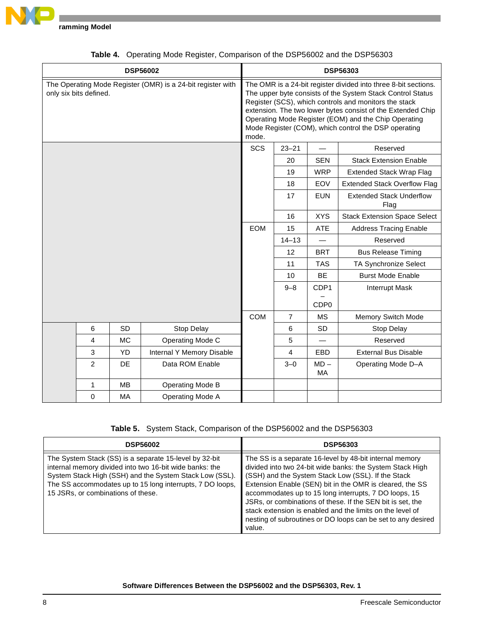

<span id="page-7-0"></span>

|                        |           | <b>DSP56002</b>                                             |            |                |                          | <b>DSP56303</b>                                                                                                                                                                                                                                                                                                                                                       |
|------------------------|-----------|-------------------------------------------------------------|------------|----------------|--------------------------|-----------------------------------------------------------------------------------------------------------------------------------------------------------------------------------------------------------------------------------------------------------------------------------------------------------------------------------------------------------------------|
| only six bits defined. |           | The Operating Mode Register (OMR) is a 24-bit register with | mode.      |                |                          | The OMR is a 24-bit register divided into three 8-bit sections.<br>The upper byte consists of the System Stack Control Status<br>Register (SCS), which controls and monitors the stack<br>extension. The two lower bytes consist of the Extended Chip<br>Operating Mode Register (EOM) and the Chip Operating<br>Mode Register (COM), which control the DSP operating |
|                        |           |                                                             | <b>SCS</b> | $23 - 21$      | $\overline{\phantom{0}}$ | Reserved                                                                                                                                                                                                                                                                                                                                                              |
|                        |           |                                                             |            | 20             | <b>SEN</b>               | <b>Stack Extension Enable</b>                                                                                                                                                                                                                                                                                                                                         |
|                        |           |                                                             |            | 19             | <b>WRP</b>               | <b>Extended Stack Wrap Flag</b>                                                                                                                                                                                                                                                                                                                                       |
|                        |           |                                                             |            | 18             | EOV                      | <b>Extended Stack Overflow Flag</b>                                                                                                                                                                                                                                                                                                                                   |
|                        |           |                                                             |            | 17             | <b>EUN</b>               | <b>Extended Stack Underflow</b><br>Flag                                                                                                                                                                                                                                                                                                                               |
|                        |           |                                                             |            | 16             | <b>XYS</b>               | <b>Stack Extension Space Select</b>                                                                                                                                                                                                                                                                                                                                   |
|                        |           |                                                             | <b>EOM</b> | 15             | <b>ATE</b>               | <b>Address Tracing Enable</b>                                                                                                                                                                                                                                                                                                                                         |
|                        |           |                                                             |            | $14 - 13$      |                          | Reserved                                                                                                                                                                                                                                                                                                                                                              |
|                        |           |                                                             |            | 12             | <b>BRT</b>               | <b>Bus Release Timing</b>                                                                                                                                                                                                                                                                                                                                             |
|                        |           |                                                             |            | 11             | <b>TAS</b>               | TA Synchronize Select                                                                                                                                                                                                                                                                                                                                                 |
|                        |           |                                                             |            | 10             | BE                       | <b>Burst Mode Enable</b>                                                                                                                                                                                                                                                                                                                                              |
|                        |           |                                                             |            | $9 - 8$        | CDP1                     | <b>Interrupt Mask</b>                                                                                                                                                                                                                                                                                                                                                 |
|                        |           |                                                             |            |                | CDP <sub>0</sub>         |                                                                                                                                                                                                                                                                                                                                                                       |
|                        |           |                                                             | <b>COM</b> | $\overline{7}$ | МS                       | Memory Switch Mode                                                                                                                                                                                                                                                                                                                                                    |
| 6                      | <b>SD</b> | Stop Delay                                                  |            | 6              | <b>SD</b>                | Stop Delay                                                                                                                                                                                                                                                                                                                                                            |
| 4                      | МC        | Operating Mode C                                            |            | 5              | $\overline{\phantom{0}}$ | Reserved                                                                                                                                                                                                                                                                                                                                                              |
| 3                      | <b>YD</b> | Internal Y Memory Disable                                   |            | 4              | EBD                      | <b>External Bus Disable</b>                                                                                                                                                                                                                                                                                                                                           |
| $\overline{c}$         | DE        | Data ROM Enable                                             |            | $3 - 0$        | $MD -$<br>MA             | Operating Mode D-A                                                                                                                                                                                                                                                                                                                                                    |
| 1                      | <b>MB</b> | <b>Operating Mode B</b>                                     |            |                |                          |                                                                                                                                                                                                                                                                                                                                                                       |
| $\Omega$               | МA        | <b>Operating Mode A</b>                                     |            |                |                          |                                                                                                                                                                                                                                                                                                                                                                       |

|  |  | Table 4. Operating Mode Register, Comparison of the DSP56002 and the DSP56303 |
|--|--|-------------------------------------------------------------------------------|
|--|--|-------------------------------------------------------------------------------|

**Table 5.** System Stack, Comparison of the DSP56002 and the DSP56303

<span id="page-7-1"></span>

| <b>DSP56002</b>                                                                                                                                                                                                                                                                 | <b>DSP56303</b>                                                                                                                                                                                                                                                                                                                                                                                                                                                                                      |
|---------------------------------------------------------------------------------------------------------------------------------------------------------------------------------------------------------------------------------------------------------------------------------|------------------------------------------------------------------------------------------------------------------------------------------------------------------------------------------------------------------------------------------------------------------------------------------------------------------------------------------------------------------------------------------------------------------------------------------------------------------------------------------------------|
| The System Stack (SS) is a separate 15-level by 32-bit<br>internal memory divided into two 16-bit wide banks: the<br>System Stack High (SSH) and the System Stack Low (SSL).<br>The SS accommodates up to 15 long interrupts, 7 DO loops,<br>15 JSRs, or combinations of these. | The SS is a separate 16-level by 48-bit internal memory<br>divided into two 24-bit wide banks: the System Stack High<br>(SSH) and the System Stack Low (SSL). If the Stack<br>Extension Enable (SEN) bit in the OMR is cleared, the SS<br>accommodates up to 15 long interrupts, 7 DO loops, 15<br>JSRs, or combinations of these. If the SEN bit is set, the<br>stack extension is enabled and the limits on the level of<br>nesting of subroutines or DO loops can be set to any desired<br>value. |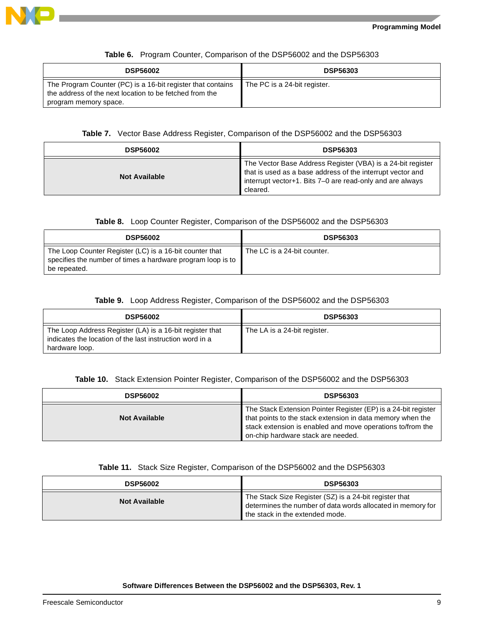

<span id="page-8-0"></span>

| <b>DSP56002</b>                                                                                                                                 | <b>DSP56303</b>              |
|-------------------------------------------------------------------------------------------------------------------------------------------------|------------------------------|
| The Program Counter (PC) is a 16-bit register that contains<br>the address of the next location to be fetched from the<br>program memory space. | The PC is a 24-bit register. |

#### **Table 6.** Program Counter, Comparison of the DSP56002 and the DSP56303

#### **Table 7.** Vector Base Address Register, Comparison of the DSP56002 and the DSP56303

<span id="page-8-1"></span>

| <b>DSP56002</b>      | <b>DSP56303</b>                                                                                                                                                                                    |
|----------------------|----------------------------------------------------------------------------------------------------------------------------------------------------------------------------------------------------|
| <b>Not Available</b> | The Vector Base Address Register (VBA) is a 24-bit register<br>that is used as a base address of the interrupt vector and<br>interrupt vector+1. Bits 7-0 are read-only and are always<br>cleared. |

#### **Table 8.** Loop Counter Register, Comparison of the DSP56002 and the DSP56303

<span id="page-8-2"></span>

| <b>DSP56002</b>                                                                                                                        | <b>DSP56303</b>             |
|----------------------------------------------------------------------------------------------------------------------------------------|-----------------------------|
| The Loop Counter Register (LC) is a 16-bit counter that<br>specifies the number of times a hardware program loop is to<br>be repeated. | The LC is a 24-bit counter. |

#### **Table 9.** Loop Address Register, Comparison of the DSP56002 and the DSP56303

<span id="page-8-3"></span>

| <b>DSP56002</b>                                                                                                                        | <b>DSP56303</b>              |
|----------------------------------------------------------------------------------------------------------------------------------------|------------------------------|
| The Loop Address Register (LA) is a 16-bit register that<br>indicates the location of the last instruction word in a<br>hardware loop. | The LA is a 24-bit register. |

#### **Table 10.** Stack Extension Pointer Register, Comparison of the DSP56002 and the DSP56303

<span id="page-8-4"></span>

| <b>DSP56002</b>      | <b>DSP56303</b>                                                                                                                                                                                                                  |
|----------------------|----------------------------------------------------------------------------------------------------------------------------------------------------------------------------------------------------------------------------------|
| <b>Not Available</b> | The Stack Extension Pointer Register (EP) is a 24-bit register<br>that points to the stack extension in data memory when the<br>stack extension is enabled and move operations to/from the<br>on-chip hardware stack are needed. |

#### **Table 11.** Stack Size Register, Comparison of the DSP56002 and the DSP56303

<span id="page-8-5"></span>

| <b>DSP56002</b>      | <b>DSP56303</b>                                                                                                                                          |
|----------------------|----------------------------------------------------------------------------------------------------------------------------------------------------------|
| <b>Not Available</b> | The Stack Size Register (SZ) is a 24-bit register that<br>determines the number of data words allocated in memory for<br>the stack in the extended mode. |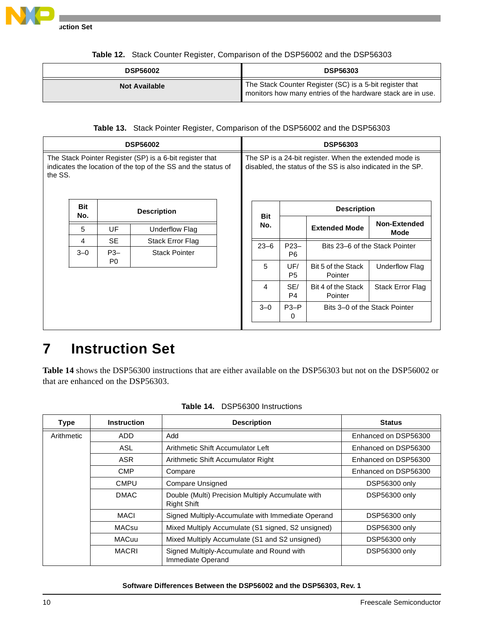

**Instruction Set**

<span id="page-9-1"></span>

| <b>DSP56002</b>      | <b>DSP56303</b>                                                                                                         |
|----------------------|-------------------------------------------------------------------------------------------------------------------------|
| <b>Not Available</b> | The Stack Counter Register (SC) is a 5-bit register that<br>monitors how many entries of the hardware stack are in use. |

| Table 12. Stack Counter Register, Comparison of the DSP56002 and the DSP56303 |
|-------------------------------------------------------------------------------|
|                                                                               |

#### **Table 13.** Stack Pointer Register, Comparison of the DSP56002 and the DSP56303

<span id="page-9-2"></span>

| <b>DSP56002</b>                                                                                                                      |                   |                | <b>DSP56303</b>      |  |                                                                                                                       |                       |                                |                               |
|--------------------------------------------------------------------------------------------------------------------------------------|-------------------|----------------|----------------------|--|-----------------------------------------------------------------------------------------------------------------------|-----------------------|--------------------------------|-------------------------------|
| The Stack Pointer Register (SP) is a 6-bit register that<br>indicates the location of the top of the SS and the status of<br>the SS. |                   |                |                      |  | The SP is a 24-bit register. When the extended mode is<br>disabled, the status of the SS is also indicated in the SP. |                       |                                |                               |
|                                                                                                                                      | <b>Bit</b><br>No. |                | <b>Description</b>   |  | <b>Bit</b>                                                                                                            |                       | <b>Description</b>             |                               |
|                                                                                                                                      | 5                 | UF             | Underflow Flag       |  | No.                                                                                                                   |                       | <b>Extended Mode</b>           | <b>Non-Extended</b><br>Mode   |
|                                                                                                                                      | 4                 | <b>SE</b>      | Stack Error Flag     |  | $23 - 6$                                                                                                              | $P23-$                | Bits 23–6 of the Stack Pointer |                               |
|                                                                                                                                      | $3 - 0$           | $P3-$          | <b>Stack Pointer</b> |  |                                                                                                                       | P <sub>6</sub>        |                                |                               |
|                                                                                                                                      |                   | P <sub>0</sub> |                      |  | 5                                                                                                                     | UF/<br>P <sub>5</sub> | Bit 5 of the Stack<br>Pointer  | Underflow Flag                |
|                                                                                                                                      |                   |                |                      |  | 4                                                                                                                     | SE/<br>P4             | Bit 4 of the Stack<br>Pointer  | Stack Error Flag              |
|                                                                                                                                      |                   |                |                      |  | $3 - 0$                                                                                                               | $P3-P$<br>0           |                                | Bits 3–0 of the Stack Pointer |
|                                                                                                                                      |                   |                |                      |  |                                                                                                                       |                       |                                |                               |

### <span id="page-9-0"></span>**7 Instruction Set**

**[Table 14](#page-9-3)** shows the DSP56300 instructions that are either available on the DSP56303 but not on the DSP56002 or that are enhanced on the DSP56303.

<span id="page-9-3"></span>

| <b>Type</b>                       | <b>Instruction</b>                                                                                                                                                     | <b>Description</b>                                             | <b>Status</b>        |
|-----------------------------------|------------------------------------------------------------------------------------------------------------------------------------------------------------------------|----------------------------------------------------------------|----------------------|
| Arithmetic                        | ADD<br>Add<br>ASL<br>Arithmetic Shift Accumulator Left<br>ASR<br>Arithmetic Shift Accumulator Right<br><b>CMP</b><br>Compare<br><b>Compare Unsigned</b><br><b>CMPU</b> |                                                                | Enhanced on DSP56300 |
|                                   |                                                                                                                                                                        |                                                                | Enhanced on DSP56300 |
|                                   |                                                                                                                                                                        |                                                                | Enhanced on DSP56300 |
|                                   |                                                                                                                                                                        |                                                                | Enhanced on DSP56300 |
|                                   |                                                                                                                                                                        |                                                                | DSP56300 only        |
| <b>DMAC</b><br><b>Right Shift</b> |                                                                                                                                                                        | Double (Multi) Precision Multiply Accumulate with              | DSP56300 only        |
|                                   | MACI<br>Signed Multiply-Accumulate with Immediate Operand                                                                                                              |                                                                | DSP56300 only        |
|                                   | <b>MACsu</b>                                                                                                                                                           | Mixed Multiply Accumulate (S1 signed, S2 unsigned)             | DSP56300 only        |
|                                   | MACuu                                                                                                                                                                  | Mixed Multiply Accumulate (S1 and S2 unsigned)                 | DSP56300 only        |
|                                   | <b>MACRI</b>                                                                                                                                                           | Signed Multiply-Accumulate and Round with<br>Immediate Operand | DSP56300 only        |

**Table 14.** DSP56300 Instructions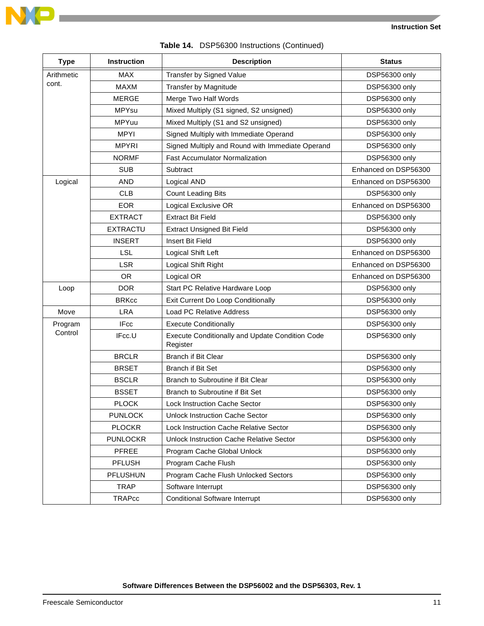

| <b>Type</b> | Instruction                                             | <b>Description</b>                                          | <b>Status</b>        |
|-------------|---------------------------------------------------------|-------------------------------------------------------------|----------------------|
| Arithmetic  | <b>MAX</b><br>Transfer by Signed Value                  |                                                             | DSP56300 only        |
| cont.       | <b>MAXM</b>                                             | Transfer by Magnitude                                       | DSP56300 only        |
|             | <b>MERGE</b>                                            | Merge Two Half Words                                        | DSP56300 only        |
|             | Mixed Multiply (S1 signed, S2 unsigned)<br><b>MPYsu</b> |                                                             | DSP56300 only        |
|             | MPYuu                                                   | Mixed Multiply (S1 and S2 unsigned)                         | DSP56300 only        |
|             | <b>MPYI</b>                                             | Signed Multiply with Immediate Operand                      | DSP56300 only        |
|             | <b>MPYRI</b>                                            | Signed Multiply and Round with Immediate Operand            | DSP56300 only        |
|             | <b>NORMF</b>                                            | <b>Fast Accumulator Normalization</b>                       | DSP56300 only        |
|             | SUB                                                     | Subtract                                                    | Enhanced on DSP56300 |
| Logical     | <b>AND</b>                                              | Logical AND                                                 | Enhanced on DSP56300 |
|             | <b>CLB</b>                                              | <b>Count Leading Bits</b>                                   | DSP56300 only        |
|             | <b>EOR</b>                                              | Logical Exclusive OR                                        | Enhanced on DSP56300 |
|             | <b>EXTRACT</b>                                          | <b>Extract Bit Field</b>                                    | DSP56300 only        |
|             | <b>EXTRACTU</b>                                         | <b>Extract Unsigned Bit Field</b>                           | DSP56300 only        |
|             | <b>INSERT</b>                                           | Insert Bit Field                                            | <b>DSP56300 only</b> |
|             | <b>LSL</b>                                              | Logical Shift Left                                          | Enhanced on DSP56300 |
|             | <b>LSR</b>                                              | Logical Shift Right                                         | Enhanced on DSP56300 |
|             | <b>OR</b>                                               | Logical OR                                                  | Enhanced on DSP56300 |
| Loop        | <b>DOR</b>                                              | Start PC Relative Hardware Loop                             | DSP56300 only        |
|             | <b>BRKcc</b>                                            | Exit Current Do Loop Conditionally                          | DSP56300 only        |
| Move        | <b>LRA</b>                                              | Load PC Relative Address                                    | DSP56300 only        |
| Program     | <b>IFcc</b>                                             | <b>Execute Conditionally</b>                                | DSP56300 only        |
| Control     | IFcc.U                                                  | Execute Conditionally and Update Condition Code<br>Register | DSP56300 only        |
|             | <b>BRCLR</b>                                            | <b>Branch if Bit Clear</b>                                  | DSP56300 only        |
|             | <b>BRSET</b>                                            | <b>Branch if Bit Set</b>                                    | <b>DSP56300 only</b> |
|             | <b>BSCLR</b>                                            | Branch to Subroutine if Bit Clear                           | DSP56300 only        |
|             | <b>BSSET</b>                                            | Branch to Subroutine if Bit Set                             | <b>DSP56300 only</b> |
|             | <b>PLOCK</b>                                            | Lock Instruction Cache Sector                               | DSP56300 only        |
|             | <b>PUNLOCK</b>                                          | <b>Unlock Instruction Cache Sector</b>                      | DSP56300 only        |
|             | <b>PLOCKR</b>                                           | Lock Instruction Cache Relative Sector                      | DSP56300 only        |
|             | <b>PUNLOCKR</b>                                         | <b>Unlock Instruction Cache Relative Sector</b>             | DSP56300 only        |
|             | PFREE                                                   | Program Cache Global Unlock                                 | DSP56300 only        |
|             | <b>PFLUSH</b>                                           | Program Cache Flush                                         | DSP56300 only        |
|             | PFLUSHUN                                                | Program Cache Flush Unlocked Sectors                        | DSP56300 only        |
|             | <b>TRAP</b>                                             | Software Interrupt                                          | DSP56300 only        |
|             | <b>TRAPcc</b>                                           | <b>Conditional Software Interrupt</b>                       | DSP56300 only        |

#### **Table 14.** DSP56300 Instructions (Continued)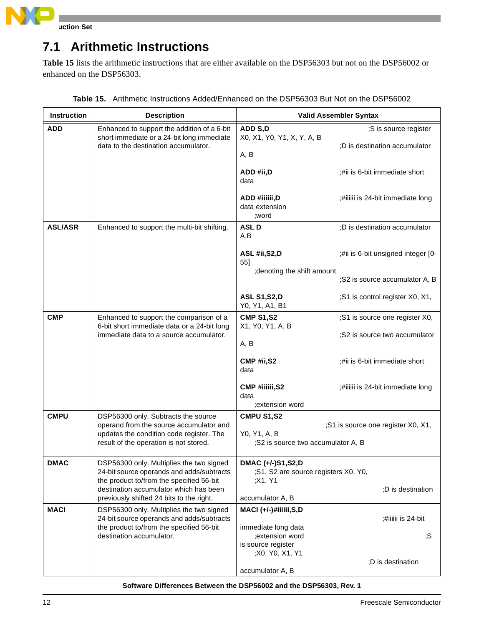

#### **Instruction Set**

### **7.1 Arithmetic Instructions**

**[Table 15](#page-11-0)** lists the arithmetic instructions that are either available on the DSP56303 but not on the DSP56002 or enhanced on the DSP56303.

<span id="page-11-0"></span>

| <b>Instruction</b> | <b>Description</b>                                                                                                                                                   | <b>Valid Assembler Syntax</b>                                           |                                                                 |  |  |
|--------------------|----------------------------------------------------------------------------------------------------------------------------------------------------------------------|-------------------------------------------------------------------------|-----------------------------------------------------------------|--|--|
| <b>ADD</b>         | Enhanced to support the addition of a 6-bit<br>short immediate or a 24-bit long immediate<br>data to the destination accumulator.                                    | ADD S,D<br>X0, X1, Y0, Y1, X, Y, A, B<br>A, B                           | ;S is source register<br>;D is destination accumulator          |  |  |
|                    |                                                                                                                                                                      | ADD #ii,D<br>data                                                       | #ii is 6-bit immediate short                                    |  |  |
|                    |                                                                                                                                                                      | ADD #iiiiii,D<br>data extension<br>;word                                | ;#iiiiii is 24-bit immediate long                               |  |  |
| <b>ASL/ASR</b>     | Enhanced to support the multi-bit shifting.                                                                                                                          | <b>ASLD</b><br>A,B                                                      | ;D is destination accumulator                                   |  |  |
|                    |                                                                                                                                                                      | ASL #ii, S2, D<br>55]                                                   | ;#ii is 6-bit unsigned integer [0-                              |  |  |
|                    |                                                                                                                                                                      | ; denoting the shift amount                                             | ;S2 is source accumulator A, B                                  |  |  |
|                    |                                                                                                                                                                      | <b>ASL S1, S2, D</b><br>Y0, Y1, A1, B1                                  | ;S1 is control register X0, X1,                                 |  |  |
| <b>CMP</b>         | Enhanced to support the comparison of a<br>6-bit short immediate data or a 24-bit long<br>immediate data to a source accumulator.                                    | <b>CMP S1,S2</b><br>X1, Y0, Y1, A, B<br>A, B                            | ;S1 is source one register X0,<br>;S2 is source two accumulator |  |  |
|                    |                                                                                                                                                                      | CMP #ii,S2<br>data                                                      | #ii is 6-bit immediate short                                    |  |  |
|                    |                                                                                                                                                                      | CMP #iiiiii, S2<br>data<br>;extension word                              | ;#iiiiii is 24-bit immediate long                               |  |  |
| <b>CMPU</b>        | DSP56300 only. Subtracts the source<br>operand from the source accumulator and<br>updates the condition code register. The<br>result of the operation is not stored. | <b>CMPU S1,S2</b><br>Y0, Y1, A, B<br>;S2 is source two accumulator A, B | ;S1 is source one register X0, X1,                              |  |  |
| <b>DMAC</b>        | DSP56300 only. Multiplies the two signed<br>24-bit source operands and adds/subtracts<br>the product to/from the specified 56-bit                                    | DMAC (+/-)S1,S2,D<br>;S1, S2 are source registers X0, Y0,<br>;X1, Y1    |                                                                 |  |  |
|                    | destination accumulator which has been<br>previously shifted 24 bits to the right.                                                                                   | accumulator A, B                                                        | ;D is destination                                               |  |  |
| <b>MACI</b>        | DSP56300 only. Multiplies the two signed<br>24-bit source operands and adds/subtracts<br>the product to/from the specified 56-bit                                    | MACI (+/-)#iiiiii,S,D<br>immediate long data                            | :#iiiiii is 24-bit                                              |  |  |
|                    | destination accumulator.                                                                                                                                             | ;extension word<br>is source register<br>;X0, Y0, X1, Y1                | ;S                                                              |  |  |
|                    |                                                                                                                                                                      | accumulator A, B                                                        | ;D is destination                                               |  |  |

**Table 15.** Arithmetic Instructions Added/Enhanced on the DSP56303 But Not on the DSP56002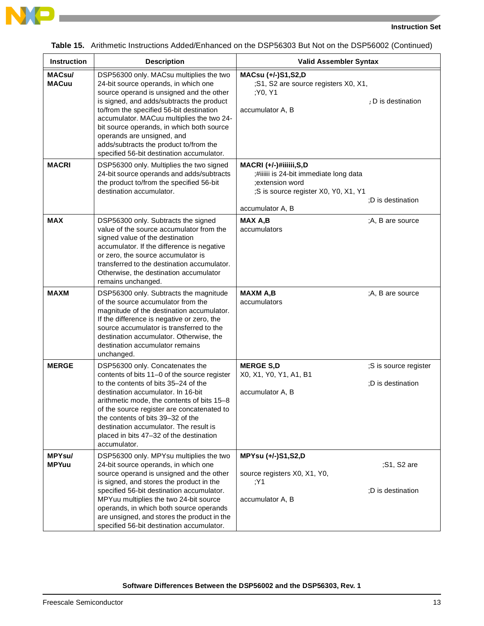



|  | Table 15. Arithmetic Instructions Added/Enhanced on the DSP56303 But Not on the DSP56002 (Continued) |  |  |  |
|--|------------------------------------------------------------------------------------------------------|--|--|--|
|--|------------------------------------------------------------------------------------------------------|--|--|--|

| Instruction                   | <b>Description</b>                                                                                                                                                                                                                                                                                                                                                                                                                  | <b>Valid Assembler Syntax</b>                                                                                                                                        |
|-------------------------------|-------------------------------------------------------------------------------------------------------------------------------------------------------------------------------------------------------------------------------------------------------------------------------------------------------------------------------------------------------------------------------------------------------------------------------------|----------------------------------------------------------------------------------------------------------------------------------------------------------------------|
| <b>MACsu/</b><br><b>MACuu</b> | DSP56300 only. MACsu multiplies the two<br>24-bit source operands, in which one<br>source operand is unsigned and the other<br>is signed, and adds/subtracts the product<br>to/from the specified 56-bit destination<br>accumulator. MACuu multiplies the two 24-<br>bit source operands, in which both source<br>operands are unsigned, and<br>adds/subtracts the product to/from the<br>specified 56-bit destination accumulator. | MACsu (+/-)S1,S2,D<br>;S1, S2 are source registers X0, X1,<br>;Y0, Y1<br>: D is destination<br>accumulator A, B                                                      |
| <b>MACRI</b>                  | DSP56300 only. Multiplies the two signed<br>24-bit source operands and adds/subtracts<br>the product to/from the specified 56-bit<br>destination accumulator.                                                                                                                                                                                                                                                                       | MACRI (+/-)#iiiiii,S,D<br>;#iiiiii is 24-bit immediate long data<br>:extension word<br>;S is source register X0, Y0, X1, Y1<br>:D is destination<br>accumulator A, B |
| <b>MAX</b>                    | DSP56300 only. Subtracts the signed<br>value of the source accumulator from the<br>signed value of the destination<br>accumulator. If the difference is negative<br>or zero, the source accumulator is<br>transferred to the destination accumulator.<br>Otherwise, the destination accumulator<br>remains unchanged.                                                                                                               | <b>MAX A,B</b><br>;A, B are source<br>accumulators                                                                                                                   |
| <b>MAXM</b>                   | DSP56300 only. Subtracts the magnitude<br>of the source accumulator from the<br>magnitude of the destination accumulator.<br>If the difference is negative or zero, the<br>source accumulator is transferred to the<br>destination accumulator. Otherwise, the<br>destination accumulator remains<br>unchanged.                                                                                                                     | <b>MAXM A,B</b><br>;A, B are source<br>accumulators                                                                                                                  |
| <b>MERGE</b>                  | DSP56300 only. Concatenates the<br>contents of bits 11-0 of the source register<br>to the contents of bits 35-24 of the<br>destination accumulator. In 16-bit<br>arithmetic mode, the contents of bits 15-8<br>of the source register are concatenated to<br>the contents of bits 39-32 of the<br>destination accumulator. The result is<br>placed in bits 47-32 of the destination<br>accumulator.                                 | <b>MERGE S,D</b><br>;S is source register<br>X0, X1, Y0, Y1, A1, B1<br>:D is destination<br>accumulator A, B                                                         |
| <b>MPYsu/</b><br><b>MPYuu</b> | DSP56300 only. MPYsu multiplies the two<br>24-bit source operands, in which one<br>source operand is unsigned and the other<br>is signed, and stores the product in the<br>specified 56-bit destination accumulator.<br>MPYuu multiplies the two 24-bit source<br>operands, in which both source operands<br>are unsigned, and stores the product in the<br>specified 56-bit destination accumulator.                               | MPYsu (+/-)S1,S2,D<br>;S1, S2 are<br>source registers X0, X1, Y0,<br>Y1:<br>;D is destination<br>accumulator A, B                                                    |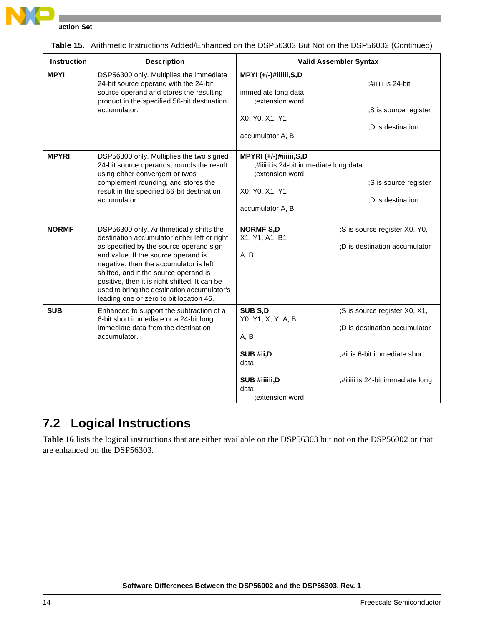

| <b>Instruction</b> | <b>Description</b>                                                                                                                                                                                                                                                                                                                                                                                       |                                                                                                                           | <b>Valid Assembler Syntax</b>                                                                                                        |
|--------------------|----------------------------------------------------------------------------------------------------------------------------------------------------------------------------------------------------------------------------------------------------------------------------------------------------------------------------------------------------------------------------------------------------------|---------------------------------------------------------------------------------------------------------------------------|--------------------------------------------------------------------------------------------------------------------------------------|
| <b>MPYI</b>        | DSP56300 only. Multiplies the immediate<br>24-bit source operand with the 24-bit<br>source operand and stores the resulting<br>product in the specified 56-bit destination<br>accumulator.                                                                                                                                                                                                               | MPYI (+/-)#iiiiii,S,D<br>immediate long data<br>;extension word<br>X0, Y0, X1, Y1<br>accumulator A, B                     | ;#iiiiii is 24-bit<br>;S is source register<br>;D is destination                                                                     |
| <b>MPYRI</b>       | DSP56300 only. Multiplies the two signed<br>24-bit source operands, rounds the result<br>using either convergent or twos<br>complement rounding, and stores the<br>result in the specified 56-bit destination<br>accumulator.                                                                                                                                                                            | MPYRI (+/-)#iiiiii,S,D<br>;#iiiiii is 24-bit immediate long data<br>;extension word<br>X0, Y0, X1, Y1<br>accumulator A, B | ;S is source register<br>;D is destination                                                                                           |
| <b>NORMF</b>       | DSP56300 only. Arithmetically shifts the<br>destination accumulator either left or right<br>as specified by the source operand sign<br>and value. If the source operand is<br>negative, then the accumulator is left<br>shifted, and if the source operand is<br>positive, then it is right shifted. It can be<br>used to bring the destination accumulator's<br>leading one or zero to bit location 46. | <b>NORMF S,D</b><br>X1, Y1, A1, B1<br>A, B                                                                                | ;S is source register X0, Y0,<br>;D is destination accumulator                                                                       |
| <b>SUB</b>         | Enhanced to support the subtraction of a<br>6-bit short immediate or a 24-bit long<br>immediate data from the destination<br>accumulator.                                                                                                                                                                                                                                                                | SUB S,D<br>Y0, Y1, X, Y, A, B<br>A, B<br>SUB #ii,D<br>data<br>SUB #iiiiii,D<br>data<br>;extension word                    | ;S is source register X0, X1,<br>;D is destination accumulator<br>:#ii is 6-bit immediate short<br>;#iiiiii is 24-bit immediate long |

|  | Table 15. Arithmetic Instructions Added/Enhanced on the DSP56303 But Not on the DSP56002 (Continued) |  |
|--|------------------------------------------------------------------------------------------------------|--|
|--|------------------------------------------------------------------------------------------------------|--|

### **7.2 Logical Instructions**

**[Table 16](#page-14-0)** lists the logical instructions that are either available on the DSP56303 but not on the DSP56002 or that are enhanced on the DSP56303.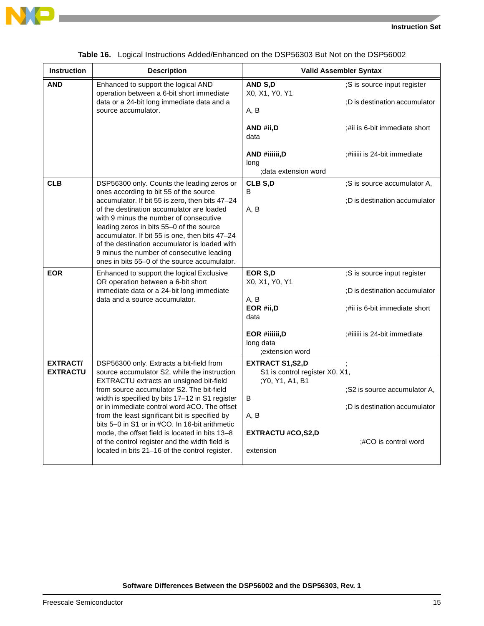



<span id="page-14-0"></span>

| <b>Instruction</b>                 | <b>Description</b>                                                                                                                                                                                                                                                                                                                                                                                                                                                                                                                            | <b>Valid Assembler Syntax</b>                                                                                                     |                                                                                                                             |
|------------------------------------|-----------------------------------------------------------------------------------------------------------------------------------------------------------------------------------------------------------------------------------------------------------------------------------------------------------------------------------------------------------------------------------------------------------------------------------------------------------------------------------------------------------------------------------------------|-----------------------------------------------------------------------------------------------------------------------------------|-----------------------------------------------------------------------------------------------------------------------------|
| <b>AND</b>                         | Enhanced to support the logical AND<br>operation between a 6-bit short immediate<br>data or a 24-bit long immediate data and a<br>source accumulator.                                                                                                                                                                                                                                                                                                                                                                                         | AND S.D<br>X0, X1, Y0, Y1<br>A, B                                                                                                 | ;S is source input register<br>:D is destination accumulator                                                                |
|                                    |                                                                                                                                                                                                                                                                                                                                                                                                                                                                                                                                               | AND #ii, D<br>data<br>AND #iiiiii,D                                                                                               | ;#ii is 6-bit immediate short<br>;#iiiiii is 24-bit immediate                                                               |
|                                    |                                                                                                                                                                                                                                                                                                                                                                                                                                                                                                                                               | long<br>:data extension word                                                                                                      |                                                                                                                             |
| <b>CLB</b>                         | DSP56300 only. Counts the leading zeros or<br>ones according to bit 55 of the source<br>accumulator. If bit 55 is zero, then bits 47-24<br>of the destination accumulator are loaded<br>with 9 minus the number of consecutive<br>leading zeros in bits 55-0 of the source<br>accumulator. If bit 55 is one, then bits 47-24<br>of the destination accumulator is loaded with<br>9 minus the number of consecutive leading<br>ones in bits 55–0 of the source accumulator.                                                                    | CLB S,D<br>B<br>A, B                                                                                                              | ;S is source accumulator A,<br>;D is destination accumulator                                                                |
| <b>EOR</b>                         | Enhanced to support the logical Exclusive<br>OR operation between a 6-bit short<br>immediate data or a 24-bit long immediate<br>data and a source accumulator.                                                                                                                                                                                                                                                                                                                                                                                | EOR S,D<br>X0, X1, Y0, Y1<br>A, B<br>EOR #ii, D<br>data<br>EOR #iiiiii,D<br>long data<br>extension word;                          | ;S is source input register<br>:D is destination accumulator<br>#ii is 6-bit immediate short<br>#iiiiii is 24-bit immediate |
| <b>EXTRACT/</b><br><b>EXTRACTU</b> | DSP56300 only. Extracts a bit-field from<br>source accumulator S2, while the instruction<br>EXTRACTU extracts an unsigned bit-field<br>from source accumulator S2. The bit-field<br>width is specified by bits 17-12 in S1 register<br>or in immediate control word #CO. The offset<br>from the least significant bit is specified by<br>bits 5–0 in S1 or in #CO. In 16-bit arithmetic<br>mode, the offset field is located in bits 13-8<br>of the control register and the width field is<br>located in bits 21–16 of the control register. | <b>EXTRACT S1,S2,D</b><br>S1 is control register X0, X1,<br>;Y0, Y1, A1, B1<br>В<br>A, B<br><b>EXTRACTU #CO,S2,D</b><br>extension | ;S2 is source accumulator A,<br>;D is destination accumulator<br>:#CO is control word                                       |

|  | Table 16. Logical Instructions Added/Enhanced on the DSP56303 But Not on the DSP56002 |  |  |
|--|---------------------------------------------------------------------------------------|--|--|
|  |                                                                                       |  |  |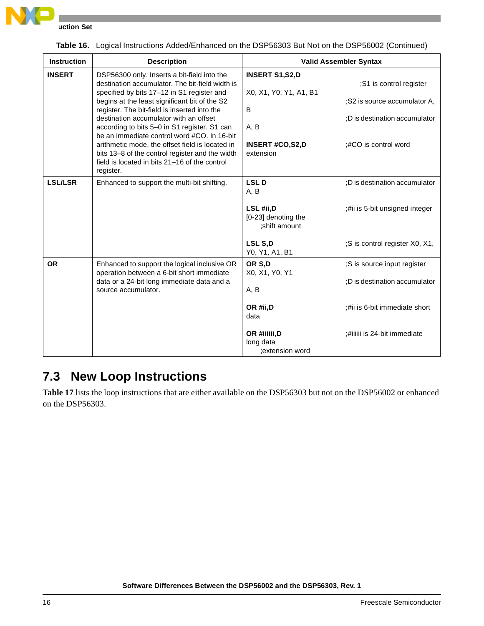

**INSERT** DSP56300 only. Inserts a bit-field into the destination accumulator. The bit-field width is specified by bits 17-12 in S1 register and begins at the least significant bit of the S2 register. The bit-field is inserted into the destination accumulator with an offset according to bits 5–0 in S1 register. S1 can be an immediate control word #CO. In 16-bit arithmetic mode, the offset field is located in bits 13–8 of the control register and the width field is located in bits 21–16 of the control register. **INSERT S1,S2,D** ;S1 is control register X0, X1, Y0, Y1, A1, B1 ;S2 is source accumulator A, B ;D is destination accumulator A, B **INSERT #CO,S2,D** ;#CO is control word extension **LSL/LSR** Enhanced to support the multi-bit shifting. **LSL D** ;D is destination accumulator A, B **LSL #ii,D**  $\qquad \qquad ;\n$ #ii is 5-bit unsigned integer [0-23] denoting the ;shift amount LSL S,D  $;S$  is control register X0, X1, Y0, Y1, A1, B1 **OR** Enhanced to support the logical inclusive OR operation between a 6-bit short immediate data or a 24-bit long immediate data and a source accumulator. **OR S,D**  $\qquad \qquad ;S$  is source input register X0, X1, Y0, Y1 ;D is destination accumulator A, B **OR #ii,D**  $; #ii$  is 6-bit immediate short data **OR #iiiiii,D**  $\qquad \qquad ;\text{#iiiiii}$  is 24-bit immediate long data ;extension word **Instruction | Description | Description | Valid Assembler Syntax** 

#### **Table 16.** Logical Instructions Added/Enhanced on the DSP56303 But Not on the DSP56002 (Continued)

### **7.3 New Loop Instructions**

**[Table 17](#page-16-0)** lists the loop instructions that are either available on the DSP56303 but not on the DSP56002 or enhanced on the DSP56303.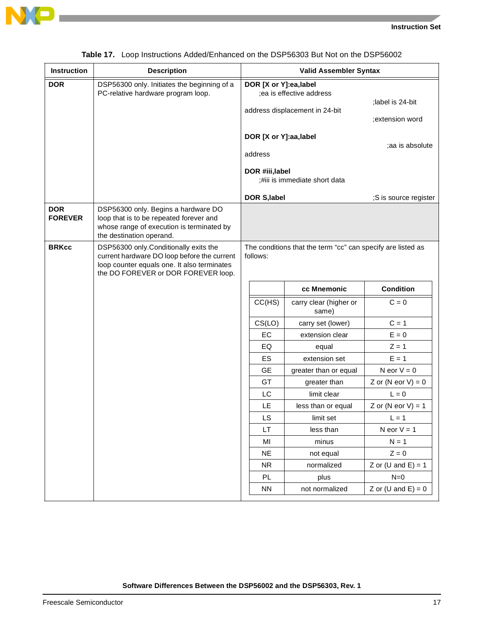



<span id="page-16-0"></span>

| <b>Instruction</b>           | <b>Description</b>                                                                                                                                                         | <b>Valid Assembler Syntax</b> |                                                      |                                                             |                                          |
|------------------------------|----------------------------------------------------------------------------------------------------------------------------------------------------------------------------|-------------------------------|------------------------------------------------------|-------------------------------------------------------------|------------------------------------------|
| <b>DOR</b>                   | DSP56300 only. Initiates the beginning of a<br>PC-relative hardware program loop.                                                                                          |                               | DOR [X or Y]:ea,label                                | ;ea is effective address<br>address displacement in 24-bit  | ;label is 24-bit<br>;extension word      |
|                              |                                                                                                                                                                            |                               | DOR [X or Y]:aa, label<br>address<br>DOR #iii, label | ;#iii is immediate short data                               | ;aa is absolute                          |
|                              |                                                                                                                                                                            |                               | DOR S, label                                         |                                                             | ;S is source register                    |
| <b>DOR</b><br><b>FOREVER</b> | DSP56300 only. Begins a hardware DO<br>loop that is to be repeated forever and<br>whose range of execution is terminated by<br>the destination operand.                    |                               |                                                      |                                                             |                                          |
| <b>BRKcc</b>                 | DSP56300 only.Conditionally exits the<br>current hardware DO loop before the current<br>loop counter equals one. It also terminates<br>the DO FOREVER or DOR FOREVER loop. |                               | follows:                                             | The conditions that the term "cc" can specify are listed as |                                          |
|                              |                                                                                                                                                                            |                               |                                                      | cc Mnemonic                                                 | <b>Condition</b>                         |
|                              |                                                                                                                                                                            |                               | CC(HS)                                               | carry clear (higher or<br>same)                             | $C = 0$                                  |
|                              |                                                                                                                                                                            |                               | CS(LO)                                               | carry set (lower)                                           | $C = 1$                                  |
|                              |                                                                                                                                                                            |                               | EC                                                   | extension clear                                             | $E = 0$                                  |
|                              |                                                                                                                                                                            |                               | EQ                                                   | equal                                                       | $Z = 1$                                  |
|                              |                                                                                                                                                                            |                               | ES                                                   | extension set                                               | $E = 1$                                  |
|                              |                                                                                                                                                                            |                               | <b>GE</b>                                            | greater than or equal                                       | N eor $V = 0$                            |
|                              |                                                                                                                                                                            |                               | GT                                                   | greater than                                                | Z or $(N \text{ eor } V) = 0$            |
|                              |                                                                                                                                                                            |                               | LC                                                   | limit clear                                                 | $L = 0$                                  |
|                              |                                                                                                                                                                            |                               | LE                                                   | less than or equal                                          | Z or $(N \text{ eor } V) = 1$            |
|                              |                                                                                                                                                                            |                               | LS                                                   | limit set                                                   | $L = 1$                                  |
|                              |                                                                                                                                                                            |                               | LT                                                   | less than                                                   | N eor $V = 1$                            |
|                              |                                                                                                                                                                            |                               | MI                                                   | minus                                                       | $N = 1$                                  |
|                              |                                                                                                                                                                            |                               | <b>NE</b>                                            | not equal                                                   | $Z = 0$<br>Z or $(U \text{ and } E) = 1$ |
|                              |                                                                                                                                                                            |                               | <b>NR</b><br>PL                                      | normalized<br>plus                                          | $N=0$                                    |
|                              |                                                                                                                                                                            |                               | <b>NN</b>                                            | not normalized                                              | Z or $(U \text{ and } E) = 0$            |
|                              |                                                                                                                                                                            |                               |                                                      |                                                             |                                          |

|  |  | Table 17. Loop Instructions Added/Enhanced on the DSP56303 But Not on the DSP56002 |  |  |
|--|--|------------------------------------------------------------------------------------|--|--|
|  |  |                                                                                    |  |  |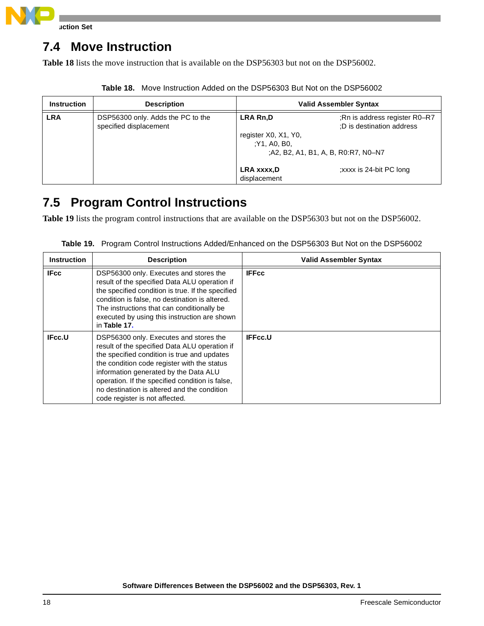

### **7.4 Move Instruction**

**[Table 18](#page-17-0)** lists the move instruction that is available on the DSP56303 but not on the DSP56002.

<span id="page-17-0"></span>

| <b>Instruction</b> | <b>Description</b>                                          |                                                                                               | <b>Valid Assembler Syntax</b>                              |
|--------------------|-------------------------------------------------------------|-----------------------------------------------------------------------------------------------|------------------------------------------------------------|
| <b>LRA</b>         | DSP56300 only. Adds the PC to the<br>specified displacement | <b>LRA Rn,D</b><br>register X0, X1, Y0,<br>Y1, A0, B0,<br>:A2, B2, A1, B1, A, B, R0:R7, N0-N7 | ;Rn is address register R0-R7<br>;D is destination address |
|                    |                                                             | LRA xxxx,D<br>displacement                                                                    | :xxxx is 24-bit PC long                                    |

**Table 18.** Move Instruction Added on the DSP56303 But Not on the DSP56002

### **7.5 Program Control Instructions**

**[Table 19](#page-17-1)** lists the program control instructions that are available on the DSP56303 but not on the DSP56002.

<span id="page-17-1"></span>

| <b>Instruction</b> | <b>Description</b>                                                                                                                                                                                                                                                                                                                                                 | <b>Valid Assembler Syntax</b> |
|--------------------|--------------------------------------------------------------------------------------------------------------------------------------------------------------------------------------------------------------------------------------------------------------------------------------------------------------------------------------------------------------------|-------------------------------|
| <b>IFcc</b>        | DSP56300 only. Executes and stores the<br>result of the specified Data ALU operation if<br>the specified condition is true. If the specified<br>condition is false, no destination is altered.<br>The instructions that can conditionally be<br>executed by using this instruction are shown<br>in Table 17.                                                       | <b>IFFcc</b>                  |
| IFcc.U             | DSP56300 only. Executes and stores the<br>result of the specified Data ALU operation if<br>the specified condition is true and updates<br>the condition code register with the status<br>information generated by the Data ALU<br>operation. If the specified condition is false,<br>no destination is altered and the condition<br>code register is not affected. | <b>IFFcc.U</b>                |

**Table 19.** Program Control Instructions Added/Enhanced on the DSP56303 But Not on the DSP56002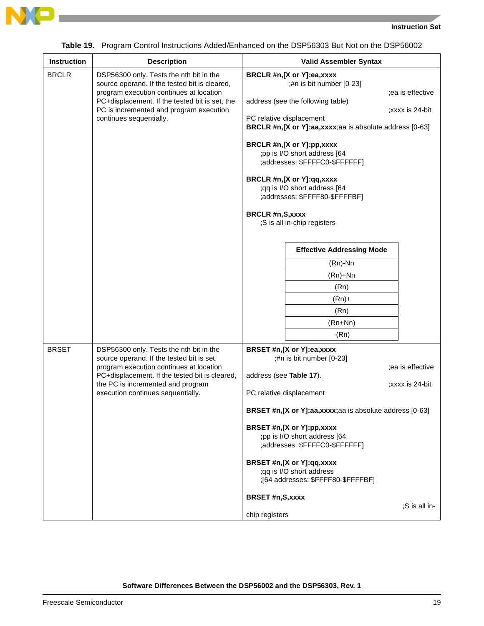



**Contract** 

|  |  |  |  | <b>Table 19.</b> Program Control Instructions Added/Enhanced on the DSP56303 But Not on the DSP56002 |
|--|--|--|--|------------------------------------------------------------------------------------------------------|
|--|--|--|--|------------------------------------------------------------------------------------------------------|

| <b>BRCLR</b> | DSP56300 only. Tests the nth bit in the<br>source operand. If the tested bit is cleared,<br>program execution continues at location<br>PC+displacement. If the tested bit is set, the                                                                       |                                                              | BRCLR #n,[X or Y]:ea,xxxx                                                                                                                                                                                                                                                                                                                             |                                                      |
|--------------|-------------------------------------------------------------------------------------------------------------------------------------------------------------------------------------------------------------------------------------------------------------|--------------------------------------------------------------|-------------------------------------------------------------------------------------------------------------------------------------------------------------------------------------------------------------------------------------------------------------------------------------------------------------------------------------------------------|------------------------------------------------------|
|              | PC is incremented and program execution<br>continues sequentially.                                                                                                                                                                                          | BRCLR #n, S, xxxx                                            | ;#n is bit number [0-23]<br>address (see the following table)<br>PC relative displacement<br>BRCLR #n,[X or Y]:aa,xxxx;aa is absolute address [0-63]<br>BRCLR #n,[X or Y]:pp,xxxx<br>;pp is I/O short address [64<br>;addresses: \$FFFFC0-\$FFFFFF]<br>BRCLR #n,[X or Y]:qq,xxxx<br>;qq is I/O short address [64<br>;addresses: \$FFFF80-\$FFFFBF]    | ;ea is effective<br>;xxxx is 24-bit                  |
|              |                                                                                                                                                                                                                                                             |                                                              | ;S is all in-chip registers<br><b>Effective Addressing Mode</b><br>(Rn)-Nn<br>$(Rn)+Nn$<br>(Rn)<br>$(Rn)+$<br>(Rn)<br>$(Rn+Nn)$                                                                                                                                                                                                                       |                                                      |
| <b>BRSET</b> | DSP56300 only. Tests the nth bit in the<br>source operand. If the tested bit is set,<br>program execution continues at location<br>PC+displacement. If the tested bit is cleared,<br>the PC is incremented and program<br>execution continues sequentially. | address (see Table 17).<br>BRSET #n,S,xxxx<br>chip registers | $-(Rn)$<br>BRSET #n,[X or Y]:ea,xxxx<br>;#n is bit number [0-23]<br>PC relative displacement<br>BRSET #n,[X or Y]:aa,xxxx;aa is absolute address [0-63]<br>BRSET #n,[X or Y]:pp,xxxx<br>;pp is I/O short address [64<br>;addresses: \$FFFFC0-\$FFFFFF]<br>BRSET #n,[X or Y]:qq,xxxx<br>;qq is I/O short address<br>;[64 addresses: \$FFFF80-\$FFFFBF] | ;ea is effective<br>xxxx is 24-bit;<br>;S is all in- |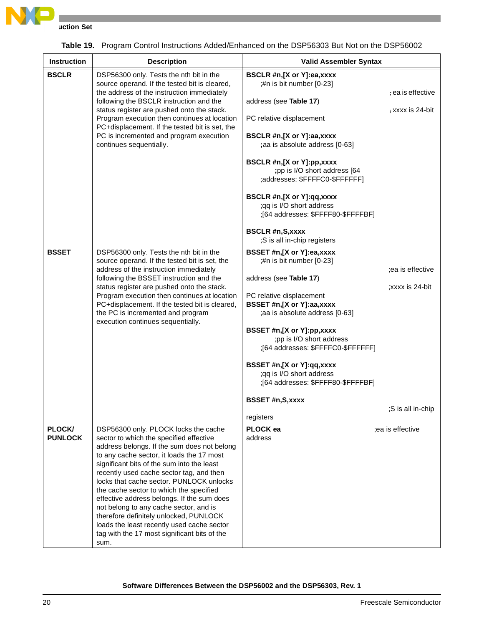

**Instruction Set**

| <b>Instruction</b>       | <b>Description</b>                                                                                                                                                                                                                                                                                                                                                                                                                                                                                                                                                                                   | <b>Valid Assembler Syntax</b>                                                                                                                                                                                                                                                                                                                                                                                                     |                                                          |
|--------------------------|------------------------------------------------------------------------------------------------------------------------------------------------------------------------------------------------------------------------------------------------------------------------------------------------------------------------------------------------------------------------------------------------------------------------------------------------------------------------------------------------------------------------------------------------------------------------------------------------------|-----------------------------------------------------------------------------------------------------------------------------------------------------------------------------------------------------------------------------------------------------------------------------------------------------------------------------------------------------------------------------------------------------------------------------------|----------------------------------------------------------|
| <b>BSCLR</b>             | DSP56300 only. Tests the nth bit in the<br>source operand. If the tested bit is cleared,<br>the address of the instruction immediately<br>following the BSCLR instruction and the<br>status register are pushed onto the stack.<br>Program execution then continues at location<br>PC+displacement. If the tested bit is set, the<br>PC is incremented and program execution<br>continues sequentially.                                                                                                                                                                                              | BSCLR #n,[X or Y]:ea,xxxx<br>;#n is bit number [0-23]<br>address (see Table 17)<br>PC relative displacement<br>BSCLR #n,[X or Y]:aa,xxxx<br>;aa is absolute address [0-63]<br>BSCLR #n,[X or Y]:pp,xxxx<br>;pp is I/O short address [64<br>;addresses: \$FFFFC0-\$FFFFFF]<br>BSCLR #n,[X or Y]:qq,xxxx<br>;qq is I/O short address<br>;[64 addresses: \$FFFF80-\$FFFFBF]<br><b>BSCLR #n,S,xxxx</b><br>;S is all in-chip registers | ; ea is effective<br>; xxxx is 24-bit                    |
| <b>BSSET</b>             | DSP56300 only. Tests the nth bit in the<br>source operand. If the tested bit is set, the<br>address of the instruction immediately<br>following the BSSET instruction and the<br>status register are pushed onto the stack.<br>Program execution then continues at location<br>PC+displacement. If the tested bit is cleared,<br>the PC is incremented and program<br>execution continues sequentially.                                                                                                                                                                                              | BSSET #n,[X or Y]:ea,xxxx<br>;#n is bit number [0-23]<br>address (see Table 17)<br>PC relative displacement<br>BSSET #n,[X or Y]:aa,xxxx<br>;aa is absolute address [0-63]<br>BSSET #n,[X or Y]:pp,xxxx<br>;pp is I/O short address<br>;[64 addresses: \$FFFFC0-\$FFFFFF]<br>BSSET #n,[X or Y]:qq,xxxx<br>;qq is I/O short address<br>:[64 addresses: \$FFFF80-\$FFFFBF]<br><b>BSSET #n,S,xxxx</b><br>registers                   | ;ea is effective<br>;xxxx is 24-bit<br>;S is all in-chip |
| PLOCK/<br><b>PUNLOCK</b> | DSP56300 only. PLOCK locks the cache<br>sector to which the specified effective<br>address belongs. If the sum does not belong<br>to any cache sector, it loads the 17 most<br>significant bits of the sum into the least<br>recently used cache sector tag, and then<br>locks that cache sector. PUNLOCK unlocks<br>the cache sector to which the specified<br>effective address belongs. If the sum does<br>not belong to any cache sector, and is<br>therefore definitely unlocked, PUNLOCK<br>loads the least recently used cache sector<br>tag with the 17 most significant bits of the<br>sum. | PLOCK ea<br>address                                                                                                                                                                                                                                                                                                                                                                                                               | ;ea is effective                                         |

|  | Table 19. Program Control Instructions Added/Enhanced on the DSP56303 But Not on the DSP56002 |  |  |
|--|-----------------------------------------------------------------------------------------------|--|--|
|  |                                                                                               |  |  |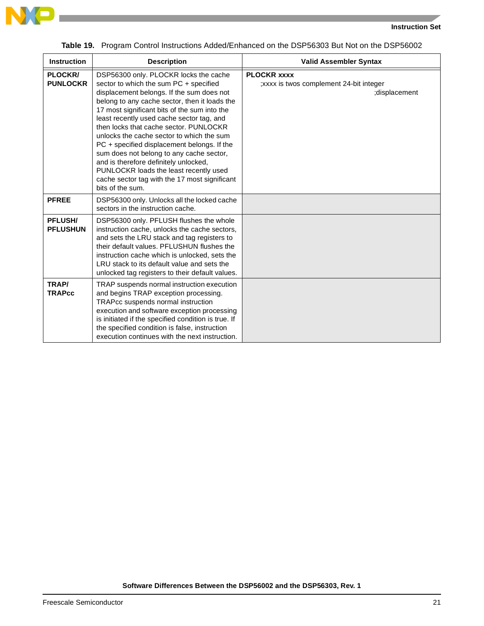

| <b>Instruction</b>                | <b>Description</b>                                                                                                                                                                                                                                                                                                                                                                                                                                                                                                                                                                                                   | <b>Valid Assembler Syntax</b>                                                   |
|-----------------------------------|----------------------------------------------------------------------------------------------------------------------------------------------------------------------------------------------------------------------------------------------------------------------------------------------------------------------------------------------------------------------------------------------------------------------------------------------------------------------------------------------------------------------------------------------------------------------------------------------------------------------|---------------------------------------------------------------------------------|
| <b>PLOCKR/</b><br><b>PUNLOCKR</b> | DSP56300 only. PLOCKR locks the cache<br>sector to which the sum PC + specified<br>displacement belongs. If the sum does not<br>belong to any cache sector, then it loads the<br>17 most significant bits of the sum into the<br>least recently used cache sector tag, and<br>then locks that cache sector. PUNLOCKR<br>unlocks the cache sector to which the sum<br>PC + specified displacement belongs. If the<br>sum does not belong to any cache sector,<br>and is therefore definitely unlocked,<br>PUNLOCKR loads the least recently used<br>cache sector tag with the 17 most significant<br>bits of the sum. | <b>PLOCKR XXXX</b><br>; xxxx is twos complement 24-bit integer<br>;displacement |
| <b>PFREE</b>                      | DSP56300 only. Unlocks all the locked cache<br>sectors in the instruction cache.                                                                                                                                                                                                                                                                                                                                                                                                                                                                                                                                     |                                                                                 |
| <b>PFLUSH/</b><br><b>PFLUSHUN</b> | DSP56300 only. PFLUSH flushes the whole<br>instruction cache, unlocks the cache sectors,<br>and sets the LRU stack and tag registers to<br>their default values. PFLUSHUN flushes the<br>instruction cache which is unlocked, sets the<br>LRU stack to its default value and sets the<br>unlocked tag registers to their default values.                                                                                                                                                                                                                                                                             |                                                                                 |
| TRAP/<br><b>TRAPcc</b>            | TRAP suspends normal instruction execution<br>and begins TRAP exception processing.<br>TRAPcc suspends normal instruction<br>execution and software exception processing<br>is initiated if the specified condition is true. If<br>the specified condition is false, instruction<br>execution continues with the next instruction.                                                                                                                                                                                                                                                                                   |                                                                                 |

**Table 19.** Program Control Instructions Added/Enhanced on the DSP56303 But Not on the DSP56002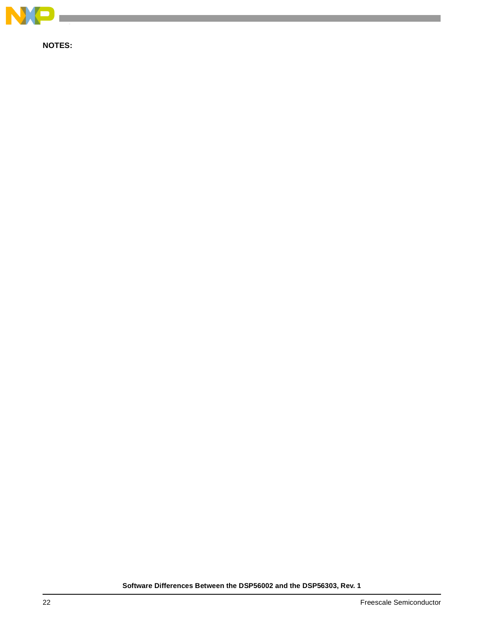

**NOTES:**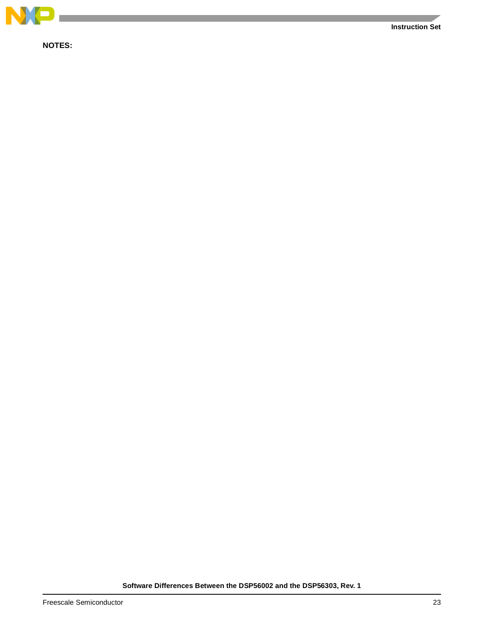

**NOTES:**